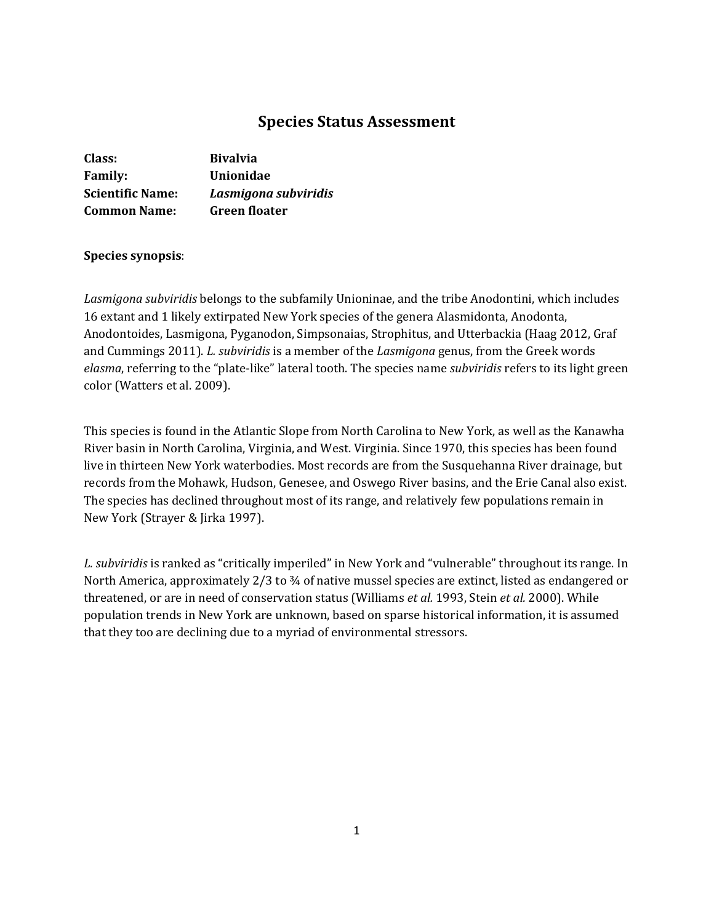# **Species Status Assessment**

| Class:                  | <b>Bivalvia</b>      |
|-------------------------|----------------------|
| <b>Family:</b>          | Unionidae            |
| <b>Scientific Name:</b> | Lasmigona subviridis |
| <b>Common Name:</b>     | <b>Green floater</b> |

#### **Species synopsis**:

*Lasmigona subviridis* belongs to the subfamily Unioninae, and the tribe Anodontini, which includes 16 extant and 1 likely extirpated New York species of the genera Alasmidonta, Anodonta, Anodontoides, Lasmigona, Pyganodon, Simpsonaias, Strophitus, and Utterbackia (Haag 2012, Graf and Cummings 2011). *L. subviridis* is a member of the *Lasmigona* genus, from the Greek words *elasma*, referring to the "plate-like" lateral tooth. The species name *subviridis* refers to its light green color (Watters et al. 2009).

This species is found in the Atlantic Slope from North Carolina to New York, as well as the Kanawha River basin in North Carolina, Virginia, and West. Virginia. Since 1970, this species has been found live in thirteen New York waterbodies. Most records are from the Susquehanna River drainage, but records from the Mohawk, Hudson, Genesee, and Oswego River basins, and the Erie Canal also exist. The species has declined throughout most of its range, and relatively few populations remain in New York (Strayer & Jirka 1997).

*L. subviridis* is ranked as "critically imperiled" in New York and "vulnerable" throughout its range. In North America, approximately 2/3 to  $\frac{3}{4}$  of native mussel species are extinct, listed as endangered or threatened, or are in need of conservation status (Williams *et al.* 1993, Stein *et al.* 2000). While population trends in New York are unknown, based on sparse historical information, it is assumed that they too are declining due to a myriad of environmental stressors.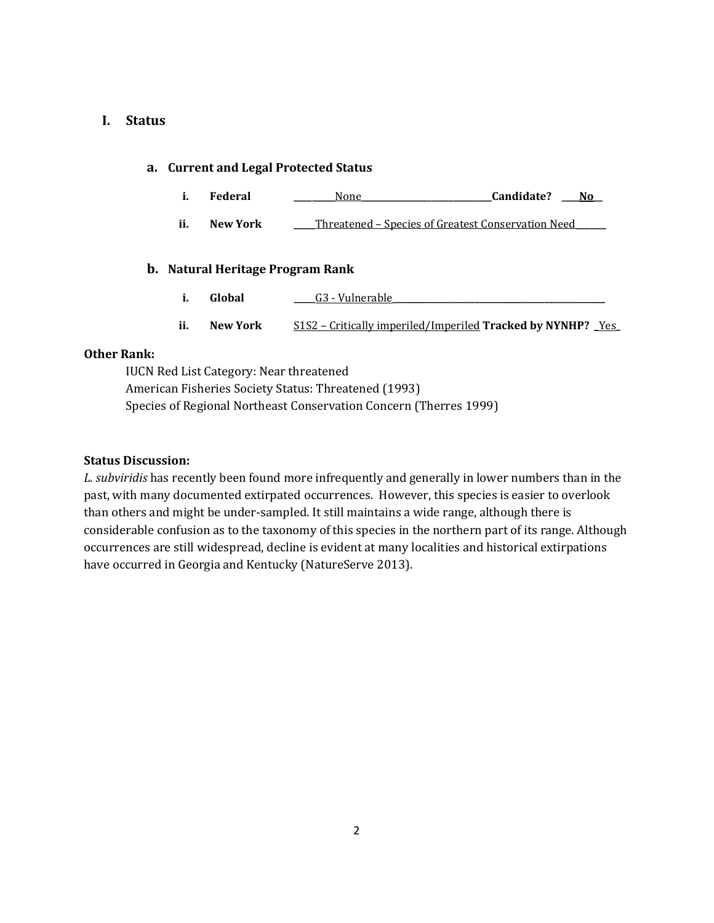# **I. Status**

# **a. Current and Legal Protected Status**

- **i. Federal \_\_\_\_ \_\_\_\_\_**None**\_\_\_\_\_\_\_\_\_\_\_\_\_\_\_\_\_\_\_\_\_\_\_\_\_\_\_\_\_\_Candidate? \_\_\_\_No\_\_**
- **ii. New York \_\_\_\_\_**Threatened Species of Greatest Conservation Need**\_\_\_\_\_\_\_**

# **b. Natural Heritage Program Rank**

- **i. Global billional c G3** Vulnerable
- **ii. New York** S1S2 Critically imperiled/Imperiled **Tracked by NYNHP?** \_Yes**\_**

# **Other Rank:**

IUCN Red List Category: Near threatened American Fisheries Society Status: Threatened (1993) Species of Regional Northeast Conservation Concern (Therres 1999)

### **Status Discussion:**

*L. subviridis* has recently been found more infrequently and generally in lower numbers than in the past, with many documented extirpated occurrences. However, this species is easier to overlook than others and might be under-sampled. It still maintains a wide range, although there is considerable confusion as to the taxonomy of this species in the northern part of its range. Although occurrences are still widespread, decline is evident at many localities and historical extirpations have occurred in Georgia and Kentucky (NatureServe 2013).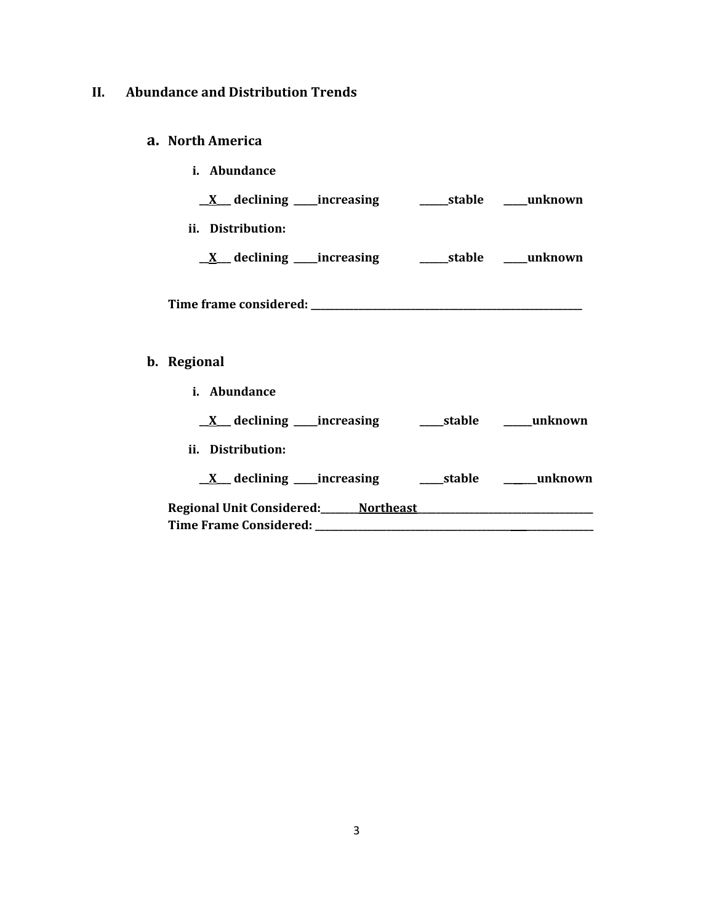# **II. Abundance and Distribution Trends**

# **a. North America**

**b**.

| i. Abundance      |  |
|-------------------|--|
|                   |  |
| ii. Distribution: |  |
|                   |  |
|                   |  |
| Regional          |  |
| i. Abundance      |  |
|                   |  |
| ii. Distribution: |  |
|                   |  |
|                   |  |
|                   |  |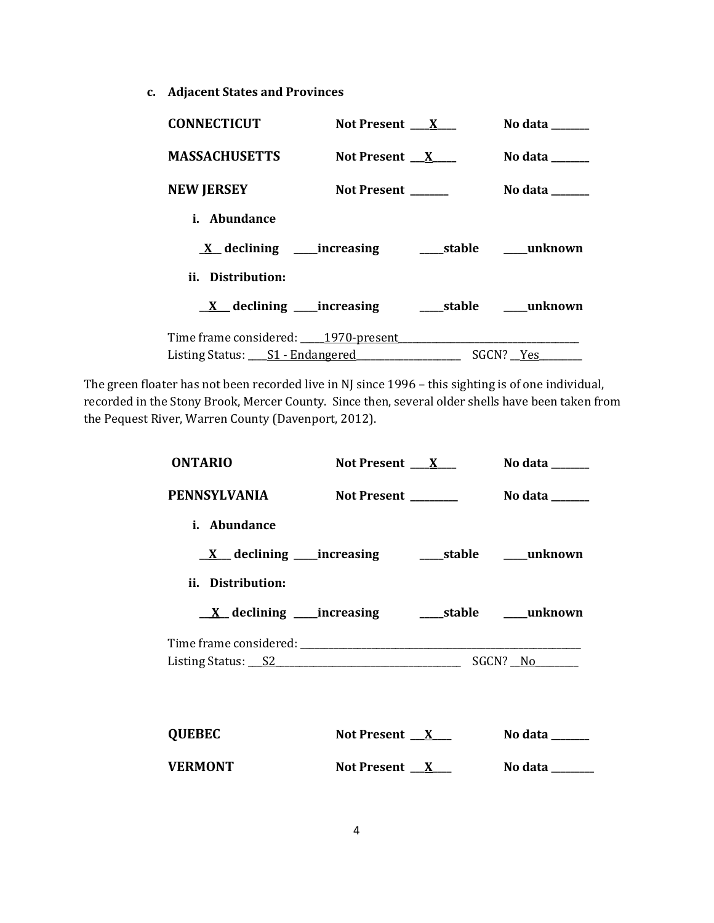**c. Adjacent States and Provinces**

| <b>CONNECTICUT</b>                                                                        | Not Present $\mathbf{X}$ | No data ______ |
|-------------------------------------------------------------------------------------------|--------------------------|----------------|
| <b>MASSACHUSETTS</b>                                                                      | Not Present $X$          | No data        |
| <b>NEW JERSEY</b>                                                                         | Not Present              | No data ______ |
| <i>i.</i> Abundance                                                                       |                          |                |
|                                                                                           |                          |                |
| ii. Distribution:                                                                         |                          |                |
|                                                                                           |                          |                |
| Time frame considered: 1970-present 1970-promotion and the frame considered: 1970-present |                          |                |
| Listing Status: ____ S1 - Endangered __________________                                   |                          | SGCN? Yes      |

The green floater has not been recorded live in NJ since 1996 – this sighting is of one individual, recorded in the Stony Brook, Mercer County. Since then, several older shells have been taken from the Pequest River, Warren County (Davenport, 2012).

| <b>ONTARIO</b>    | Not Present $\mathbf{X}$ | No data $\_\_\_\_\_\_\_\_\_\_\_\_\_\_\_\_$ |
|-------------------|--------------------------|--------------------------------------------|
| PENNSYLVANIA      | Not Present ________     | No data ______                             |
| i. Abundance      |                          |                                            |
|                   |                          |                                            |
| ii. Distribution: |                          |                                            |
|                   |                          |                                            |
|                   |                          |                                            |
|                   |                          |                                            |
|                   |                          |                                            |
| <b>QUEBEC</b>     | Not Present $X$          | No data $\_\_$                             |
| <b>VERMONT</b>    | Not Present $X$          | No data                                    |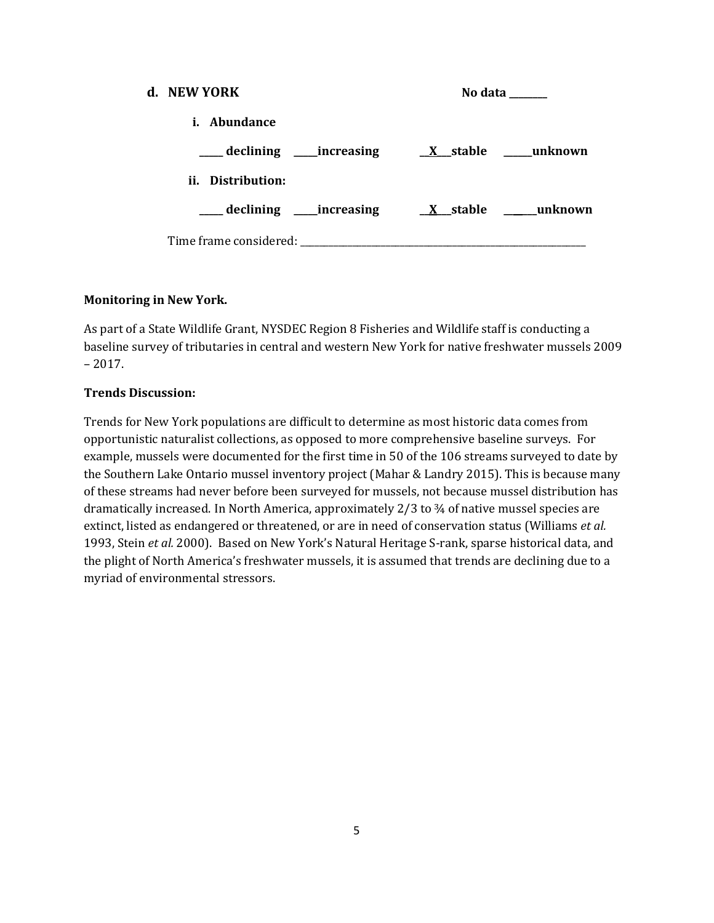| d. NEW YORK                                   | No data |  |  |
|-----------------------------------------------|---------|--|--|
| <i>i.</i> Abundance                           |         |  |  |
|                                               |         |  |  |
| ii. Distribution:                             |         |  |  |
| declining increasing X stable ______ unknown  |         |  |  |
| Time frame considered: Time frame considered: |         |  |  |

# **Monitoring in New York.**

As part of a State Wildlife Grant, NYSDEC Region 8 Fisheries and Wildlife staff is conducting a baseline survey of tributaries in central and western New York for native freshwater mussels 2009 – 2017.

# **Trends Discussion:**

Trends for New York populations are difficult to determine as most historic data comes from opportunistic naturalist collections, as opposed to more comprehensive baseline surveys. For example, mussels were documented for the first time in 50 of the 106 streams surveyed to date by the Southern Lake Ontario mussel inventory project (Mahar & Landry 2015). This is because many of these streams had never before been surveyed for mussels, not because mussel distribution has dramatically increased. In North America, approximately 2/3 to ¾ of native mussel species are extinct, listed as endangered or threatened, or are in need of conservation status (Williams *et al.*  1993, Stein *et al.* 2000). Based on New York's Natural Heritage S-rank, sparse historical data, and the plight of North America's freshwater mussels, it is assumed that trends are declining due to a myriad of environmental stressors.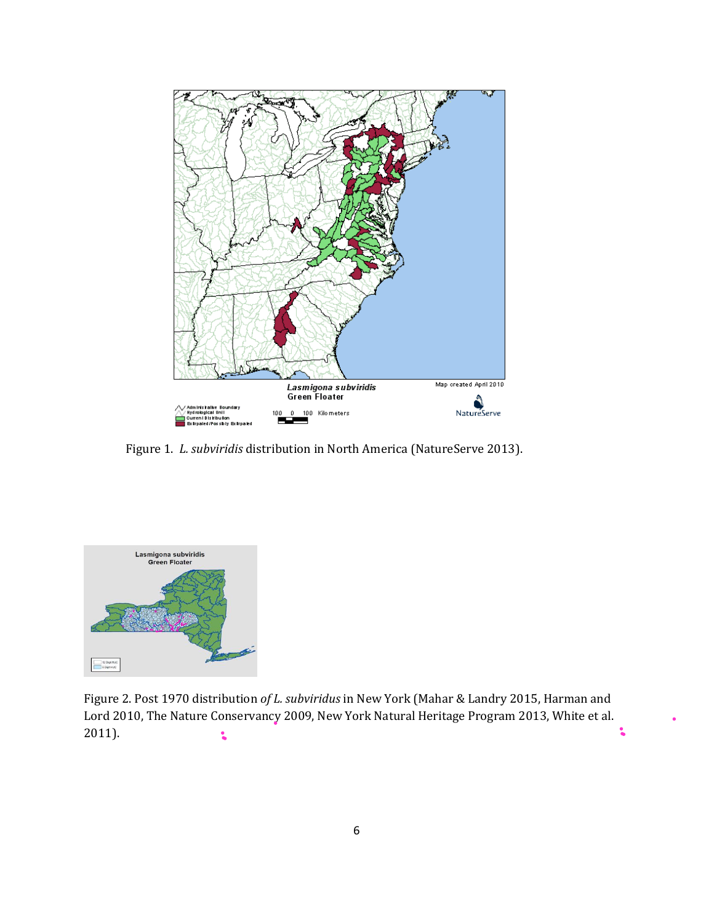

Figure 1. *L. subviridis* distribution in North America (NatureServe 2013).



Figure 2. Post 1970 distribution *of L. subviridus* in New York (Mahar & Landry 2015, Harman and Lord 2010, The Nature Conservancy 2009, New York Natural Heritage Program 2013, White et al. 2011). $\ddot{\bullet}$  $\ddot{\bullet}$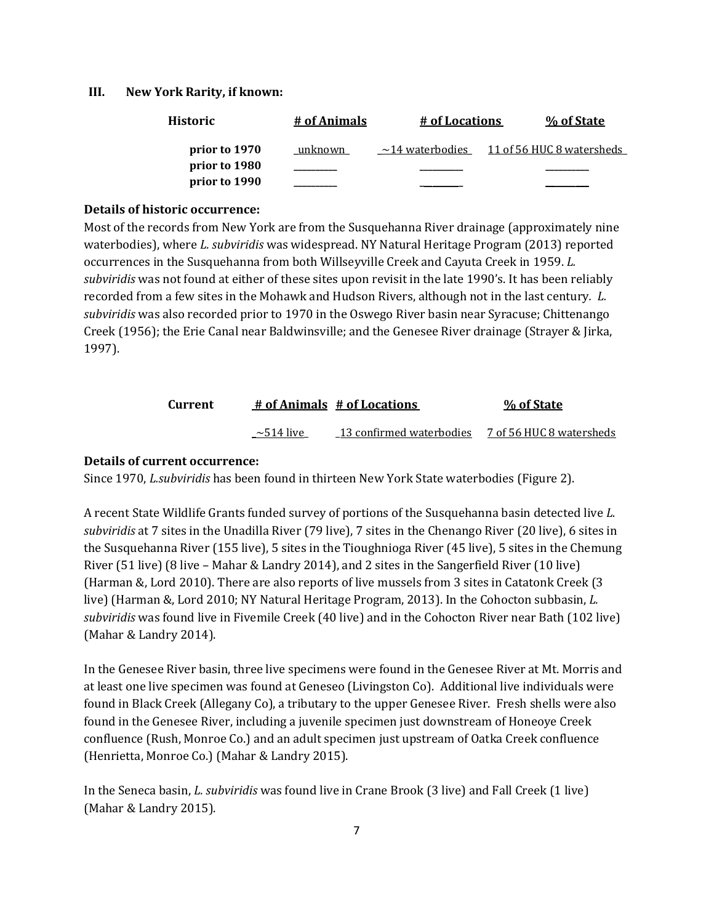#### **III. New York Rarity, if known:**

| Historic      | # of Animals | # of Locations        | % of State                |
|---------------|--------------|-----------------------|---------------------------|
| prior to 1970 | unknown      | $\sim$ 14 waterbodies | 11 of 56 HUC 8 watersheds |
| prior to 1980 |              |                       |                           |
| prior to 1990 |              |                       |                           |

#### **Details of historic occurrence:**

Most of the records from New York are from the Susquehanna River drainage (approximately nine waterbodies), where *L. subviridis* was widespread. NY Natural Heritage Program (2013) reported occurrences in the Susquehanna from both Willseyville Creek and Cayuta Creek in 1959. *L. subviridis* was not found at either of these sites upon revisit in the late 1990's. It has been reliably recorded from a few sites in the Mohawk and Hudson Rivers, although not in the last century*. L. subviridis* was also recorded prior to 1970 in the Oswego River basin near Syracuse; Chittenango Creek (1956); the Erie Canal near Baldwinsville; and the Genesee River drainage (Strayer & Jirka, 1997).

| Current |                 | # of Animals # of Locations | % of State               |
|---------|-----------------|-----------------------------|--------------------------|
|         | $\sim$ 514 live | 13 confirmed waterbodies    | 7 of 56 HUC 8 watersheds |

#### **Details of current occurrence:**

Since 1970, *L.subviridis* has been found in thirteen New York State waterbodies (Figure 2).

A recent State Wildlife Grants funded survey of portions of the Susquehanna basin detected live *L. subviridis* at 7 sites in the Unadilla River (79 live), 7 sites in the Chenango River (20 live), 6 sites in the Susquehanna River (155 live), 5 sites in the Tioughnioga River (45 live), 5 sites in the Chemung River (51 live) (8 live – Mahar & Landry 2014), and 2 sites in the Sangerfield River (10 live) (Harman &, Lord 2010). There are also reports of live mussels from 3 sites in Catatonk Creek (3 live) (Harman &, Lord 2010; NY Natural Heritage Program, 2013). In the Cohocton subbasin, *L. subviridis* was found live in Fivemile Creek (40 live) and in the Cohocton River near Bath (102 live) (Mahar & Landry 2014).

In the Genesee River basin, three live specimens were found in the Genesee River at Mt. Morris and at least one live specimen was found at Geneseo (Livingston Co). Additional live individuals were found in Black Creek (Allegany Co), a tributary to the upper Genesee River. Fresh shells were also found in the Genesee River, including a juvenile specimen just downstream of Honeoye Creek confluence (Rush, Monroe Co.) and an adult specimen just upstream of Oatka Creek confluence (Henrietta, Monroe Co.) (Mahar & Landry 2015).

In the Seneca basin, *L. subviridis* was found live in Crane Brook (3 live) and Fall Creek (1 live) (Mahar & Landry 2015).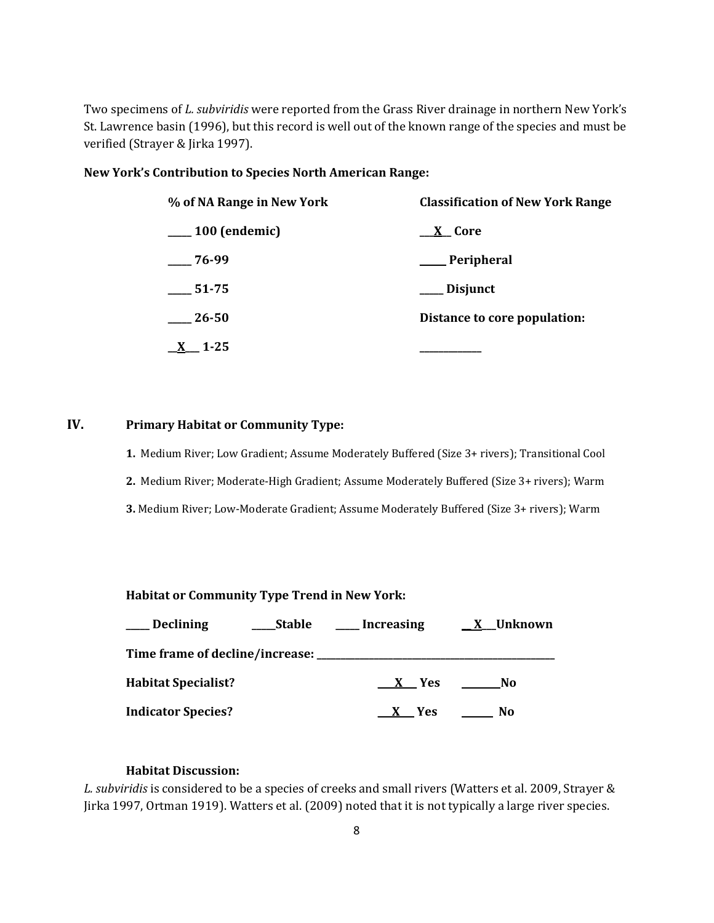Two specimens of *L. subviridis* were reported from the Grass River drainage in northern New York's St. Lawrence basin (1996), but this record is well out of the known range of the species and must be verified (Strayer & Jirka 1997).

#### **New York's Contribution to Species North American Range:**

| % of NA Range in New York | <b>Classification of New York Range</b> |  |  |
|---------------------------|-----------------------------------------|--|--|
| $\frac{100}{2}$ (endemic) | <u>__X</u> _Core                        |  |  |
| $-76-99$                  | ___ Peripheral                          |  |  |
| $-51-75$                  | Disjunct                                |  |  |
| 26-50                     | Distance to core population:            |  |  |
| 1-25                      |                                         |  |  |

# **IV. Primary Habitat or Community Type:**

**1.** Medium River; Low Gradient; Assume Moderately Buffered (Size 3+ rivers); Transitional Cool **2.** Medium River; Moderate-High Gradient; Assume Moderately Buffered (Size 3+ rivers); Warm **3.** Medium River; Low-Moderate Gradient; Assume Moderately Buffered (Size 3+ rivers); Warm

**Habitat or Community Type Trend in New York:**

| <b>Declining</b>                                   | Stable | Increasing | X Unknown |
|----------------------------------------------------|--------|------------|-----------|
| Time frame of decline/increase: __________________ |        |            |           |
| <b>Habitat Specialist?</b>                         |        | X Yes      | No        |
| <b>Indicator Species?</b>                          |        | X Yes      | No        |

# **Habitat Discussion:**

*L. subviridis* is considered to be a species of creeks and small rivers (Watters et al. 2009, Strayer & Jirka 1997, Ortman 1919). Watters et al. (2009) noted that it is not typically a large river species.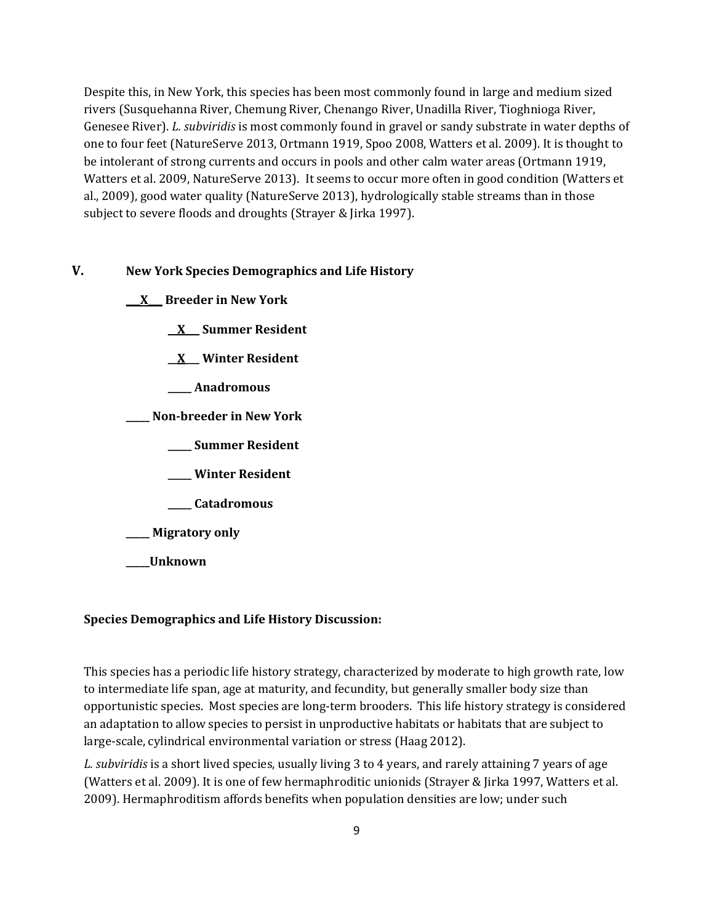Despite this, in New York, this species has been most commonly found in large and medium sized rivers (Susquehanna River, Chemung River, Chenango River, Unadilla River, Tioghnioga River, Genesee River). *L. subviridis* is most commonly found in gravel or sandy substrate in water depths of one to four feet (NatureServe 2013, Ortmann 1919, Spoo 2008, Watters et al. 2009). It is thought to be intolerant of strong currents and occurs in pools and other calm water areas (Ortmann 1919, Watters et al. 2009, NatureServe 2013). It seems to occur more often in good condition (Watters et al., 2009), good water quality (NatureServe 2013), hydrologically stable streams than in those subject to severe floods and droughts (Strayer & Jirka 1997).

# **V. New York Species Demographics and Life History**

**\_\_\_X\_\_\_ Breeder in New York**

**\_\_X\_\_\_ Summer Resident**

**\_\_X\_\_\_ Winter Resident**

- **\_\_\_\_\_ Anadromous**
- **\_\_\_\_\_ Non-breeder in New York**
	- **\_\_\_\_\_ Summer Resident**
	- **\_\_\_\_\_ Winter Resident**
	- **\_\_\_\_\_ Catadromous**
- **\_\_\_\_\_ Migratory only**
- **\_\_\_\_\_Unknown**

# **Species Demographics and Life History Discussion:**

This species has a periodic life history strategy, characterized by moderate to high growth rate, low to intermediate life span, age at maturity, and fecundity, but generally smaller body size than opportunistic species. Most species are long-term brooders. This life history strategy is considered an adaptation to allow species to persist in unproductive habitats or habitats that are subject to large-scale, cylindrical environmental variation or stress (Haag 2012).

*L. subviridis* is a short lived species, usually living 3 to 4 years, and rarely attaining 7 years of age (Watters et al. 2009). It is one of few hermaphroditic unionids (Strayer & Jirka 1997, Watters et al. 2009). Hermaphroditism affords benefits when population densities are low; under such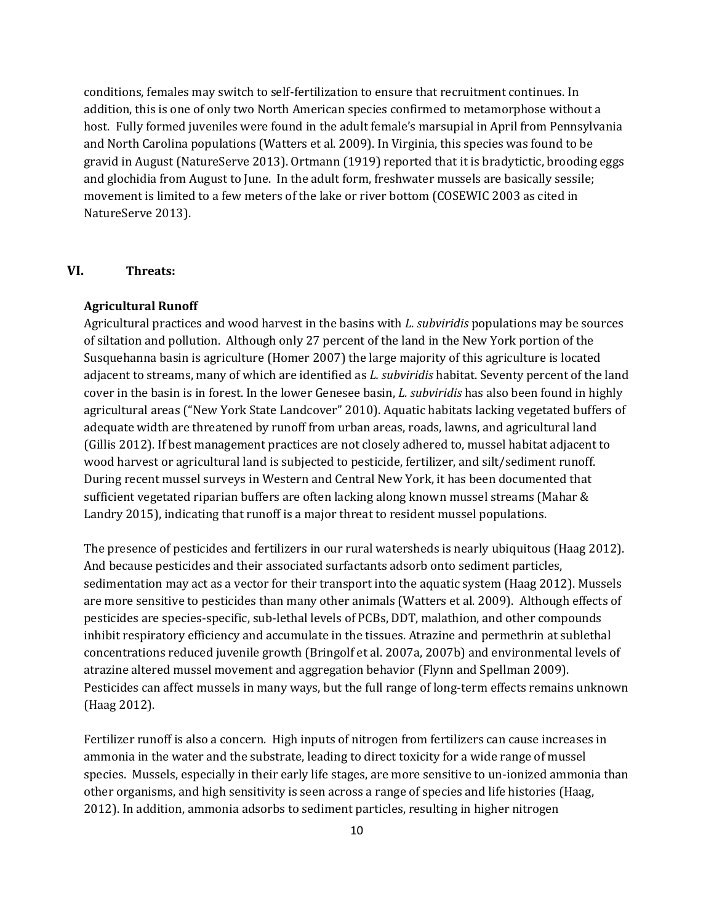conditions, females may switch to self-fertilization to ensure that recruitment continues. In addition, this is one of only two North American species confirmed to metamorphose without a host. Fully formed juveniles were found in the adult female's marsupial in April from Pennsylvania and North Carolina populations (Watters et al. 2009). In Virginia, this species was found to be gravid in August (NatureServe 2013). Ortmann (1919) reported that it is bradytictic, brooding eggs and glochidia from August to June. In the adult form, freshwater mussels are basically sessile; movement is limited to a few meters of the lake or river bottom (COSEWIC 2003 as cited in NatureServe 2013).

# **VI. Threats:**

#### **Agricultural Runoff**

Agricultural practices and wood harvest in the basins with *L. subviridis* populations may be sources of siltation and pollution. Although only 27 percent of the land in the New York portion of the Susquehanna basin is agriculture (Homer 2007) the large majority of this agriculture is located adjacent to streams, many of which are identified as *L. subviridis* habitat. Seventy percent of the land cover in the basin is in forest. In the lower Genesee basin, *L. subviridis* has also been found in highly agricultural areas ("New York State Landcover" 2010). Aquatic habitats lacking vegetated buffers of adequate width are threatened by runoff from urban areas, roads, lawns, and agricultural land (Gillis 2012). If best management practices are not closely adhered to, mussel habitat adjacent to wood harvest or agricultural land is subjected to pesticide, fertilizer, and silt/sediment runoff. During recent mussel surveys in Western and Central New York, it has been documented that sufficient vegetated riparian buffers are often lacking along known mussel streams (Mahar & Landry 2015), indicating that runoff is a major threat to resident mussel populations.

The presence of pesticides and fertilizers in our rural watersheds is nearly ubiquitous (Haag 2012). And because pesticides and their associated surfactants adsorb onto sediment particles, sedimentation may act as a vector for their transport into the aquatic system (Haag 2012). Mussels are more sensitive to pesticides than many other animals (Watters et al. 2009). Although effects of pesticides are species-specific, sub-lethal levels of PCBs, DDT, malathion, and other compounds inhibit respiratory efficiency and accumulate in the tissues. Atrazine and permethrin at sublethal concentrations reduced juvenile growth (Bringolf et al. 2007a, 2007b) and environmental levels of atrazine altered mussel movement and aggregation behavior (Flynn and Spellman 2009). Pesticides can affect mussels in many ways, but the full range of long-term effects remains unknown (Haag 2012).

Fertilizer runoff is also a concern. High inputs of nitrogen from fertilizers can cause increases in ammonia in the water and the substrate, leading to direct toxicity for a wide range of mussel species. Mussels, especially in their early life stages, are more sensitive to un-ionized ammonia than other organisms, and high sensitivity is seen across a range of species and life histories (Haag, 2012). In addition, ammonia adsorbs to sediment particles, resulting in higher nitrogen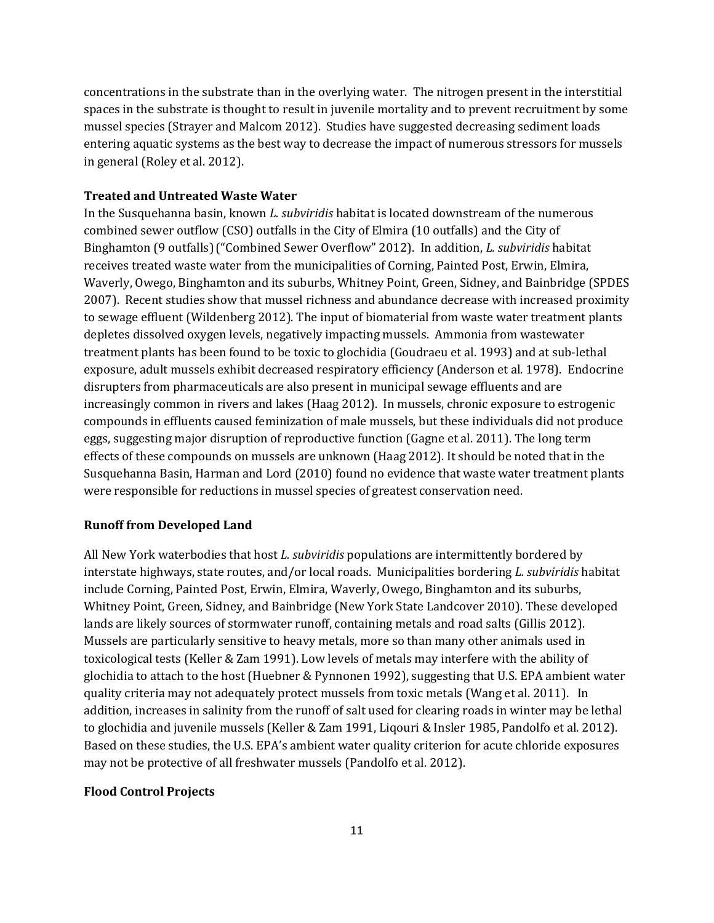concentrations in the substrate than in the overlying water. The nitrogen present in the interstitial spaces in the substrate is thought to result in juvenile mortality and to prevent recruitment by some mussel species (Strayer and Malcom 2012). Studies have suggested decreasing sediment loads entering aquatic systems as the best way to decrease the impact of numerous stressors for mussels in general (Roley et al. 2012).

#### **Treated and Untreated Waste Water**

In the Susquehanna basin, known *L. subviridis* habitat is located downstream of the numerous combined sewer outflow (CSO) outfalls in the City of Elmira (10 outfalls) and the City of Binghamton (9 outfalls)("Combined Sewer Overflow" 2012). In addition, *L. subviridis* habitat receives treated waste water from the municipalities of Corning, Painted Post, Erwin, Elmira, Waverly, Owego, Binghamton and its suburbs, Whitney Point, Green, Sidney, and Bainbridge (SPDES 2007). Recent studies show that mussel richness and abundance decrease with increased proximity to sewage effluent (Wildenberg 2012). The input of biomaterial from waste water treatment plants depletes dissolved oxygen levels, negatively impacting mussels. Ammonia from wastewater treatment plants has been found to be toxic to glochidia (Goudraeu et al. 1993) and at sub-lethal exposure, adult mussels exhibit decreased respiratory efficiency (Anderson et al*.* 1978). Endocrine disrupters from pharmaceuticals are also present in municipal sewage effluents and are increasingly common in rivers and lakes (Haag 2012). In mussels, chronic exposure to estrogenic compounds in effluents caused feminization of male mussels, but these individuals did not produce eggs, suggesting major disruption of reproductive function (Gagne et al. 2011). The long term effects of these compounds on mussels are unknown (Haag 2012). It should be noted that in the Susquehanna Basin, Harman and Lord (2010) found no evidence that waste water treatment plants were responsible for reductions in mussel species of greatest conservation need.

#### **Runoff from Developed Land**

All New York waterbodies that host *L. subviridis* populations are intermittently bordered by interstate highways, state routes, and/or local roads. Municipalities bordering *L. subviridis* habitat include Corning, Painted Post, Erwin, Elmira, Waverly, Owego, Binghamton and its suburbs, Whitney Point, Green, Sidney, and Bainbridge (New York State Landcover 2010). These developed lands are likely sources of stormwater runoff, containing metals and road salts (Gillis 2012). Mussels are particularly sensitive to heavy metals, more so than many other animals used in toxicological tests (Keller & Zam 1991). Low levels of metals may interfere with the ability of glochidia to attach to the host (Huebner & Pynnonen 1992), suggesting that U.S. EPA ambient water quality criteria may not adequately protect mussels from toxic metals (Wang et al. 2011). In addition, increases in salinity from the runoff of salt used for clearing roads in winter may be lethal to glochidia and juvenile mussels (Keller & Zam 1991, Liqouri & Insler 1985, Pandolfo et al. 2012). Based on these studies, the U.S. EPA's ambient water quality criterion for acute chloride exposures may not be protective of all freshwater mussels (Pandolfo et al. 2012).

#### **Flood Control Projects**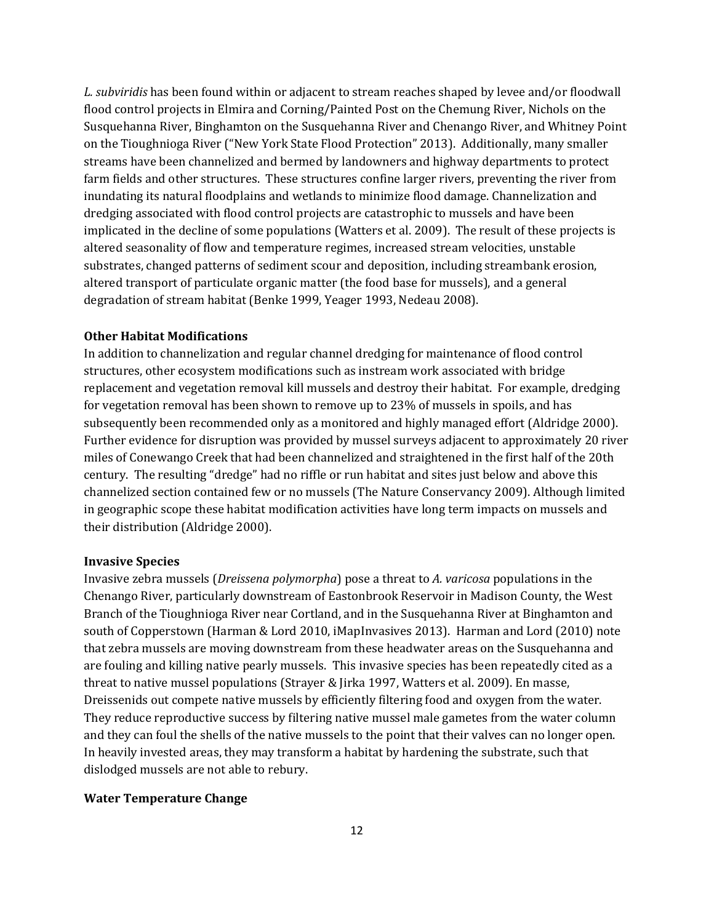*L. subviridis* has been found within or adjacent to stream reaches shaped by levee and/or floodwall flood control projects in Elmira and Corning/Painted Post on the Chemung River, Nichols on the Susquehanna River, Binghamton on the Susquehanna River and Chenango River, and Whitney Point on the Tioughnioga River ("New York State Flood Protection" 2013). Additionally, many smaller streams have been channelized and bermed by landowners and highway departments to protect farm fields and other structures. These structures confine larger rivers, preventing the river from inundating its natural floodplains and wetlands to minimize flood damage. Channelization and dredging associated with flood control projects are catastrophic to mussels and have been implicated in the decline of some populations (Watters et al. 2009). The result of these projects is altered seasonality of flow and temperature regimes, increased stream velocities, unstable substrates, changed patterns of sediment scour and deposition, including streambank erosion, altered transport of particulate organic matter (the food base for mussels), and a general degradation of stream habitat (Benke 1999, Yeager 1993, Nedeau 2008).

#### **Other Habitat Modifications**

In addition to channelization and regular channel dredging for maintenance of flood control structures, other ecosystem modifications such as instream work associated with bridge replacement and vegetation removal kill mussels and destroy their habitat. For example, dredging for vegetation removal has been shown to remove up to 23% of mussels in spoils, and has subsequently been recommended only as a monitored and highly managed effort (Aldridge 2000). Further evidence for disruption was provided by mussel surveys adjacent to approximately 20 river miles of Conewango Creek that had been channelized and straightened in the first half of the 20th century. The resulting "dredge" had no riffle or run habitat and sites just below and above this channelized section contained few or no mussels (The Nature Conservancy 2009). Although limited in geographic scope these habitat modification activities have long term impacts on mussels and their distribution (Aldridge 2000).

#### **Invasive Species**

Invasive zebra mussels (*Dreissena polymorpha*) pose a threat to *A. varicosa* populations in the Chenango River, particularly downstream of Eastonbrook Reservoir in Madison County, the West Branch of the Tioughnioga River near Cortland, and in the Susquehanna River at Binghamton and south of Copperstown (Harman & Lord 2010, iMapInvasives 2013). Harman and Lord (2010) note that zebra mussels are moving downstream from these headwater areas on the Susquehanna and are fouling and killing native pearly mussels. This invasive species has been repeatedly cited as a threat to native mussel populations (Strayer & Jirka 1997, Watters et al. 2009). En masse, Dreissenids out compete native mussels by efficiently filtering food and oxygen from the water. They reduce reproductive success by filtering native mussel male gametes from the water column and they can foul the shells of the native mussels to the point that their valves can no longer open. In heavily invested areas, they may transform a habitat by hardening the substrate, such that dislodged mussels are not able to rebury.

#### **Water Temperature Change**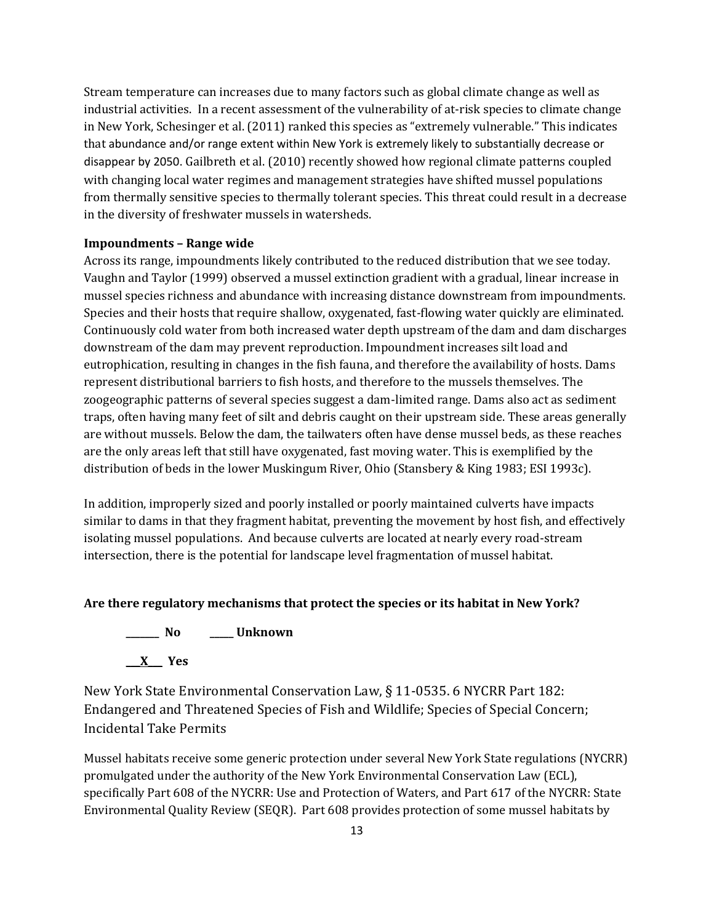Stream temperature can increases due to many factors such as global climate change as well as industrial activities. In a recent assessment of the vulnerability of at-risk species to climate change in New York, Schesinger et al. (2011) ranked this species as "extremely vulnerable." This indicates that abundance and/or range extent within New York is extremely likely to substantially decrease or disappear by 2050. Gailbreth et al. (2010) recently showed how regional climate patterns coupled with changing local water regimes and management strategies have shifted mussel populations from thermally sensitive species to thermally tolerant species. This threat could result in a decrease in the diversity of freshwater mussels in watersheds.

#### **Impoundments – Range wide**

Across its range, impoundments likely contributed to the reduced distribution that we see today. Vaughn and Taylor (1999) observed a mussel extinction gradient with a gradual, linear increase in mussel species richness and abundance with increasing distance downstream from impoundments. Species and their hosts that require shallow, oxygenated, fast-flowing water quickly are eliminated. Continuously cold water from both increased water depth upstream of the dam and dam discharges downstream of the dam may prevent reproduction. Impoundment increases silt load and eutrophication, resulting in changes in the fish fauna, and therefore the availability of hosts. Dams represent distributional barriers to fish hosts, and therefore to the mussels themselves. The zoogeographic patterns of several species suggest a dam-limited range. Dams also act as sediment traps, often having many feet of silt and debris caught on their upstream side. These areas generally are without mussels. Below the dam, the tailwaters often have dense mussel beds, as these reaches are the only areas left that still have oxygenated, fast moving water. This is exemplified by the distribution of beds in the lower Muskingum River, Ohio (Stansbery & King 1983; ESI 1993c).

In addition, improperly sized and poorly installed or poorly maintained culverts have impacts similar to dams in that they fragment habitat, preventing the movement by host fish, and effectively isolating mussel populations. And because culverts are located at nearly every road-stream intersection, there is the potential for landscape level fragmentation of mussel habitat.

#### **Are there regulatory mechanisms that protect the species or its habitat in New York?**



New York State Environmental Conservation Law, § 11-0535. 6 NYCRR Part 182: Endangered and Threatened Species of Fish and Wildlife; Species of Special Concern; Incidental Take Permits

Mussel habitats receive some generic protection under several New York State regulations (NYCRR) promulgated under the authority of the New York Environmental Conservation Law (ECL), specifically Part 608 of the NYCRR: Use and Protection of Waters, and Part 617 of the NYCRR: State Environmental Quality Review (SEQR). Part 608 provides protection of some mussel habitats by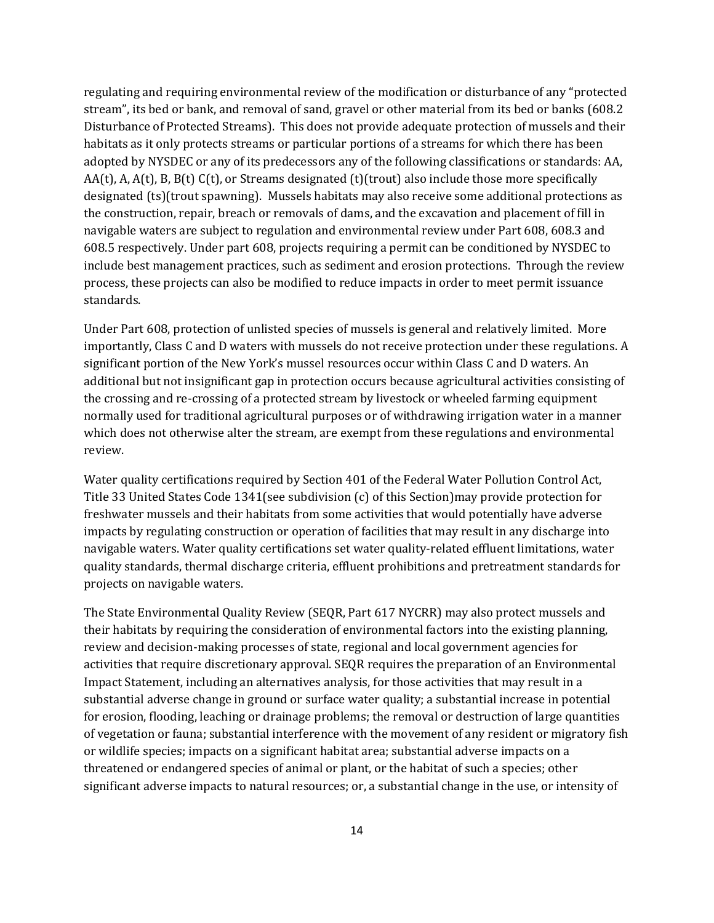regulating and requiring environmental review of the modification or disturbance of any "protected stream", its bed or bank, and removal of sand, gravel or other material from its bed or banks (608.2 Disturbance of Protected Streams). This does not provide adequate protection of mussels and their habitats as it only protects streams or particular portions of a streams for which there has been adopted by NYSDEC or any of its predecessors any of the following classifications or standards: AA, AA(t), A, A(t), B, B(t) C(t), or Streams designated (t)(trout) also include those more specifically designated (ts)(trout spawning). Mussels habitats may also receive some additional protections as the construction, repair, breach or removals of dams, and the excavation and placement of fill in navigable waters are subject to regulation and environmental review under Part 608, 608.3 and 608.5 respectively. Under part 608, projects requiring a permit can be conditioned by NYSDEC to include best management practices, such as sediment and erosion protections. Through the review process, these projects can also be modified to reduce impacts in order to meet permit issuance standards.

Under Part 608, protection of unlisted species of mussels is general and relatively limited. More importantly, Class C and D waters with mussels do not receive protection under these regulations. A significant portion of the New York's mussel resources occur within Class C and D waters. An additional but not insignificant gap in protection occurs because agricultural activities consisting of the crossing and re-crossing of a protected stream by livestock or wheeled farming equipment normally used for traditional agricultural purposes or of withdrawing irrigation water in a manner which does not otherwise alter the stream, are exempt from these regulations and environmental review.

Water quality certifications required by Section 401 of the Federal Water Pollution Control Act, Title 33 United States Code 1341(see subdivision (c) of this Section)may provide protection for freshwater mussels and their habitats from some activities that would potentially have adverse impacts by regulating construction or operation of facilities that may result in any discharge into navigable waters. Water quality certifications set water quality-related effluent limitations, water quality standards, thermal discharge criteria, effluent prohibitions and pretreatment standards for projects on navigable waters.

The State Environmental Quality Review (SEQR, Part 617 NYCRR) may also protect mussels and their habitats by requiring the consideration of environmental factors into the existing planning, review and decision-making processes of state, regional and local government agencies for activities that require discretionary approval. SEQR requires the preparation of an Environmental Impact Statement, including an alternatives analysis, for those activities that may result in a substantial adverse change in ground or surface water quality; a substantial increase in potential for erosion, flooding, leaching or drainage problems; the removal or destruction of large quantities of vegetation or fauna; substantial interference with the movement of any resident or migratory fish or wildlife species; impacts on a significant habitat area; substantial adverse impacts on a threatened or endangered species of animal or plant, or the habitat of such a species; other significant adverse impacts to natural resources; or, a substantial change in the use, or intensity of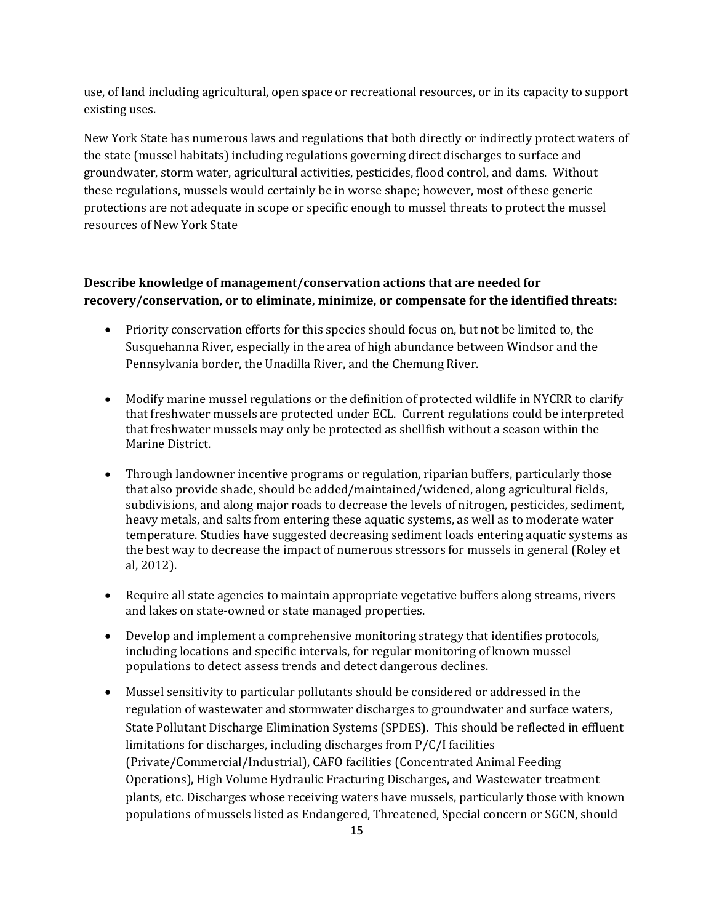use, of land including agricultural, open space or recreational resources, or in its capacity to support existing uses.

New York State has numerous laws and regulations that both directly or indirectly protect waters of the state (mussel habitats) including regulations governing direct discharges to surface and groundwater, storm water, agricultural activities, pesticides, flood control, and dams. Without these regulations, mussels would certainly be in worse shape; however, most of these generic protections are not adequate in scope or specific enough to mussel threats to protect the mussel resources of New York State

# **Describe knowledge of management/conservation actions that are needed for recovery/conservation, or to eliminate, minimize, or compensate for the identified threats:**

- Priority conservation efforts for this species should focus on, but not be limited to, the Susquehanna River, especially in the area of high abundance between Windsor and the Pennsylvania border, the Unadilla River, and the Chemung River.
- Modify marine mussel regulations or the definition of protected wildlife in NYCRR to clarify that freshwater mussels are protected under ECL. Current regulations could be interpreted that freshwater mussels may only be protected as shellfish without a season within the Marine District.
- Through landowner incentive programs or regulation, riparian buffers, particularly those that also provide shade, should be added/maintained/widened, along agricultural fields, subdivisions, and along major roads to decrease the levels of nitrogen, pesticides, sediment, heavy metals, and salts from entering these aquatic systems, as well as to moderate water temperature. Studies have suggested decreasing sediment loads entering aquatic systems as the best way to decrease the impact of numerous stressors for mussels in general (Roley et al, 2012).
- Require all state agencies to maintain appropriate vegetative buffers along streams, rivers and lakes on state-owned or state managed properties.
- Develop and implement a comprehensive monitoring strategy that identifies protocols, including locations and specific intervals, for regular monitoring of known mussel populations to detect assess trends and detect dangerous declines.
- Mussel sensitivity to particular pollutants should be considered or addressed in the regulation of wastewater and stormwater discharges to groundwater and surface waters, State Pollutant Discharge Elimination Systems (SPDES). This should be reflected in effluent limitations for discharges, including discharges from P/C/I facilities (Private/Commercial/Industrial), CAFO facilities (Concentrated Animal Feeding Operations), High Volume Hydraulic Fracturing Discharges, and Wastewater treatment plants, etc. Discharges whose receiving waters have mussels, particularly those with known populations of mussels listed as Endangered, Threatened, Special concern or SGCN, should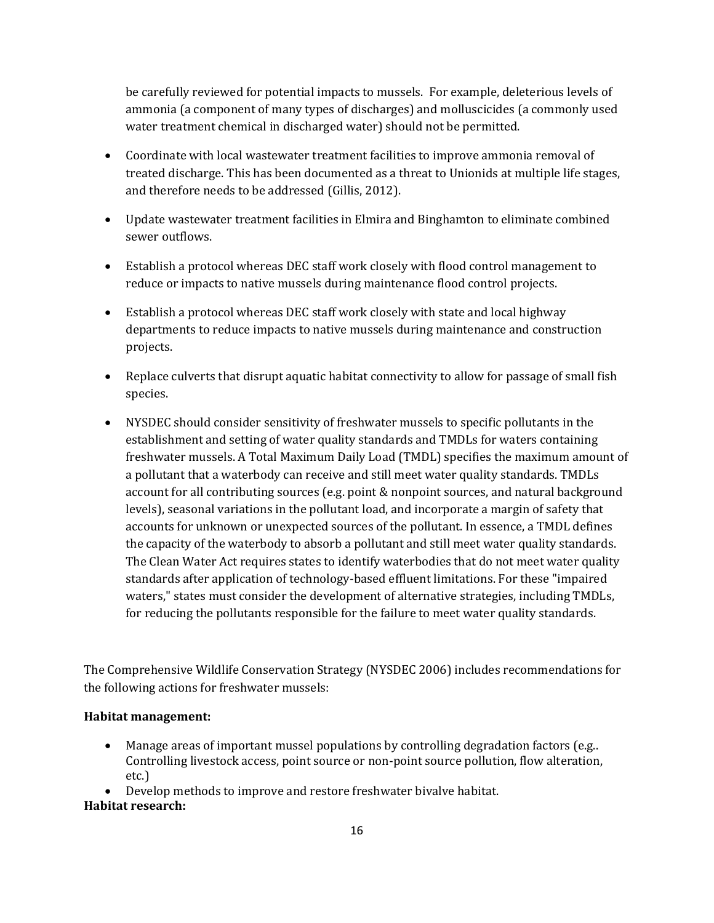be carefully reviewed for potential impacts to mussels. For example, deleterious levels of ammonia (a component of many types of discharges) and molluscicides (a commonly used water treatment chemical in discharged water) should not be permitted.

- Coordinate with local wastewater treatment facilities to improve ammonia removal of treated discharge. This has been documented as a threat to Unionids at multiple life stages, and therefore needs to be addressed (Gillis, 2012).
- Update wastewater treatment facilities in Elmira and Binghamton to eliminate combined sewer outflows.
- Establish a protocol whereas DEC staff work closely with flood control management to reduce or impacts to native mussels during maintenance flood control projects.
- Establish a protocol whereas DEC staff work closely with state and local highway departments to reduce impacts to native mussels during maintenance and construction projects.
- Replace culverts that disrupt aquatic habitat connectivity to allow for passage of small fish species.
- NYSDEC should consider sensitivity of freshwater mussels to specific pollutants in the establishment and setting of water quality standards and TMDLs for waters containing freshwater mussels. A Total Maximum Daily Load (TMDL) specifies the maximum amount of a pollutant that a waterbody can receive and still meet water quality standards. TMDLs account for all contributing sources (e.g. point & nonpoint sources, and natural background levels), seasonal variations in the pollutant load, and incorporate a margin of safety that accounts for unknown or unexpected sources of the pollutant. In essence, a TMDL defines the capacity of the waterbody to absorb a pollutant and still meet water quality standards. The Clean Water Act requires states to identify waterbodies that do not meet water quality standards after application of technology-based effluent limitations. For these "impaired waters," states must consider the development of alternative strategies, including TMDLs, for reducing the pollutants responsible for the failure to meet water quality standards.

The Comprehensive Wildlife Conservation Strategy (NYSDEC 2006) includes recommendations for the following actions for freshwater mussels:

# **Habitat management:**

- Manage areas of important mussel populations by controlling degradation factors (e.g.. Controlling livestock access, point source or non-point source pollution, flow alteration, etc.)
- Develop methods to improve and restore freshwater bivalve habitat.

# **Habitat research:**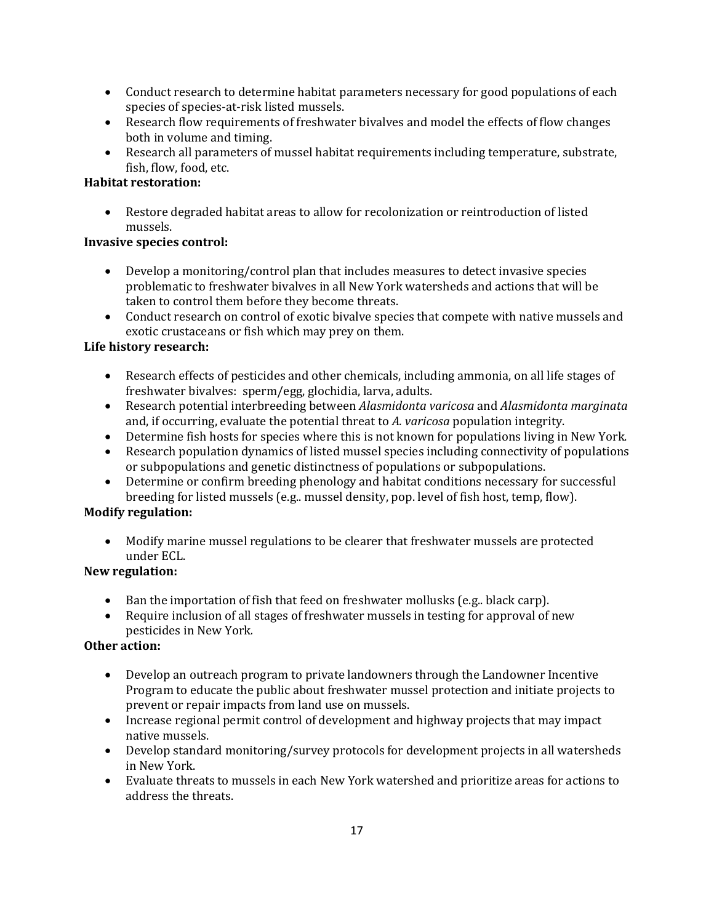- Conduct research to determine habitat parameters necessary for good populations of each species of species-at-risk listed mussels.
- Research flow requirements of freshwater bivalves and model the effects of flow changes both in volume and timing.
- Research all parameters of mussel habitat requirements including temperature, substrate, fish, flow, food, etc.

# **Habitat restoration:**

• Restore degraded habitat areas to allow for recolonization or reintroduction of listed mussels.

# **Invasive species control:**

- Develop a monitoring/control plan that includes measures to detect invasive species problematic to freshwater bivalves in all New York watersheds and actions that will be taken to control them before they become threats.
- Conduct research on control of exotic bivalve species that compete with native mussels and exotic crustaceans or fish which may prey on them.

# **Life history research:**

- Research effects of pesticides and other chemicals, including ammonia, on all life stages of freshwater bivalves: sperm/egg, glochidia, larva, adults.
- Research potential interbreeding between *Alasmidonta varicosa* and *Alasmidonta marginata* and, if occurring, evaluate the potential threat to *A. varicosa* population integrity.
- Determine fish hosts for species where this is not known for populations living in New York.
- Research population dynamics of listed mussel species including connectivity of populations or subpopulations and genetic distinctness of populations or subpopulations.
- Determine or confirm breeding phenology and habitat conditions necessary for successful breeding for listed mussels (e.g.. mussel density, pop. level of fish host, temp, flow).

# **Modify regulation:**

• Modify marine mussel regulations to be clearer that freshwater mussels are protected under ECL.

# **New regulation:**

- Ban the importation of fish that feed on freshwater mollusks (e.g., black carp).
- Require inclusion of all stages of freshwater mussels in testing for approval of new pesticides in New York*.*

# **Other action:**

- Develop an outreach program to private landowners through the Landowner Incentive Program to educate the public about freshwater mussel protection and initiate projects to prevent or repair impacts from land use on mussels.
- Increase regional permit control of development and highway projects that may impact native mussels.
- Develop standard monitoring/survey protocols for development projects in all watersheds in New York.
- Evaluate threats to mussels in each New York watershed and prioritize areas for actions to address the threats.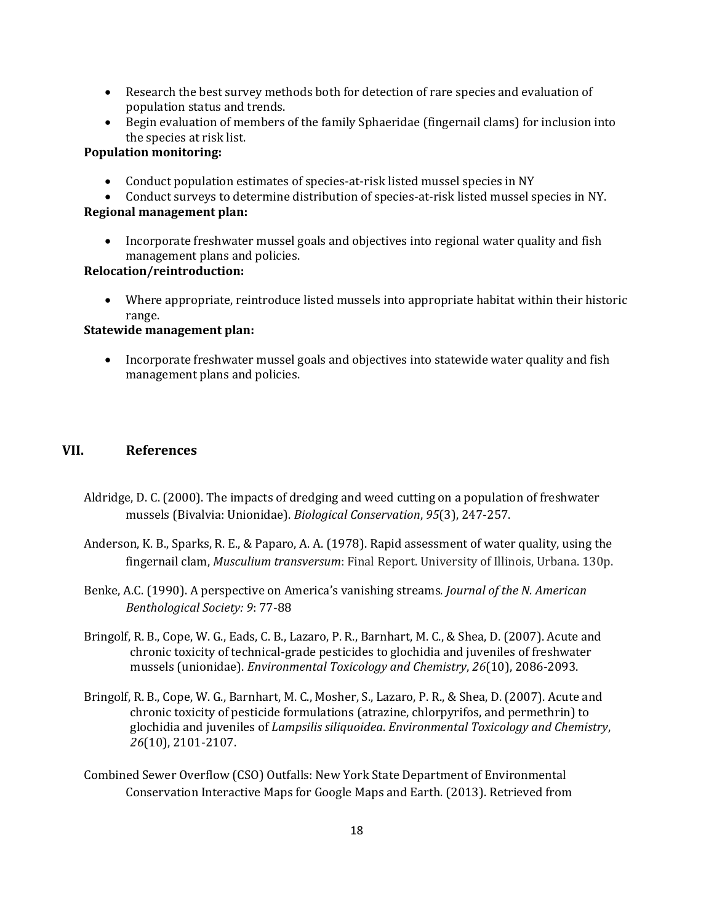- Research the best survey methods both for detection of rare species and evaluation of population status and trends.
- Begin evaluation of members of the family Sphaeridae (fingernail clams) for inclusion into the species at risk list.

# **Population monitoring:**

- Conduct population estimates of species-at-risk listed mussel species in NY
- Conduct surveys to determine distribution of species-at-risk listed mussel species in NY. **Regional management plan:**
	- Incorporate freshwater mussel goals and objectives into regional water quality and fish management plans and policies.

#### **Relocation/reintroduction:**

• Where appropriate, reintroduce listed mussels into appropriate habitat within their historic range.

# **Statewide management plan:**

• Incorporate freshwater mussel goals and objectives into statewide water quality and fish management plans and policies.

# **VII. References**

- Aldridge, D. C. (2000). The impacts of dredging and weed cutting on a population of freshwater mussels (Bivalvia: Unionidae). *Biological Conservation*, *95*(3), 247-257.
- Anderson, K. B., Sparks, R. E., & Paparo, A. A. (1978). Rapid assessment of water quality, using the fingernail clam, *Musculium transversum*: Final Report. University of Illinois, Urbana. 130p.
- Benke, A.C. (1990). A perspective on America's vanishing streams. *Journal of the N. American Benthological Society: 9*: 77-88
- Bringolf, R. B., Cope, W. G., Eads, C. B., Lazaro, P. R., Barnhart, M. C., & Shea, D. (2007). Acute and chronic toxicity of technical‐grade pesticides to glochidia and juveniles of freshwater mussels (unionidae). *Environmental Toxicology and Chemistry*, *26*(10), 2086-2093.
- Bringolf, R. B., Cope, W. G., Barnhart, M. C., Mosher, S., Lazaro, P. R., & Shea, D. (2007). Acute and chronic toxicity of pesticide formulations (atrazine, chlorpyrifos, and permethrin) to glochidia and juveniles of *Lampsilis siliquoidea*. *Environmental Toxicology and Chemistry*, *26*(10), 2101-2107.
- Combined Sewer Overflow (CSO) Outfalls: New York State Department of Environmental Conservation Interactive Maps for Google Maps and Earth. (2013). Retrieved from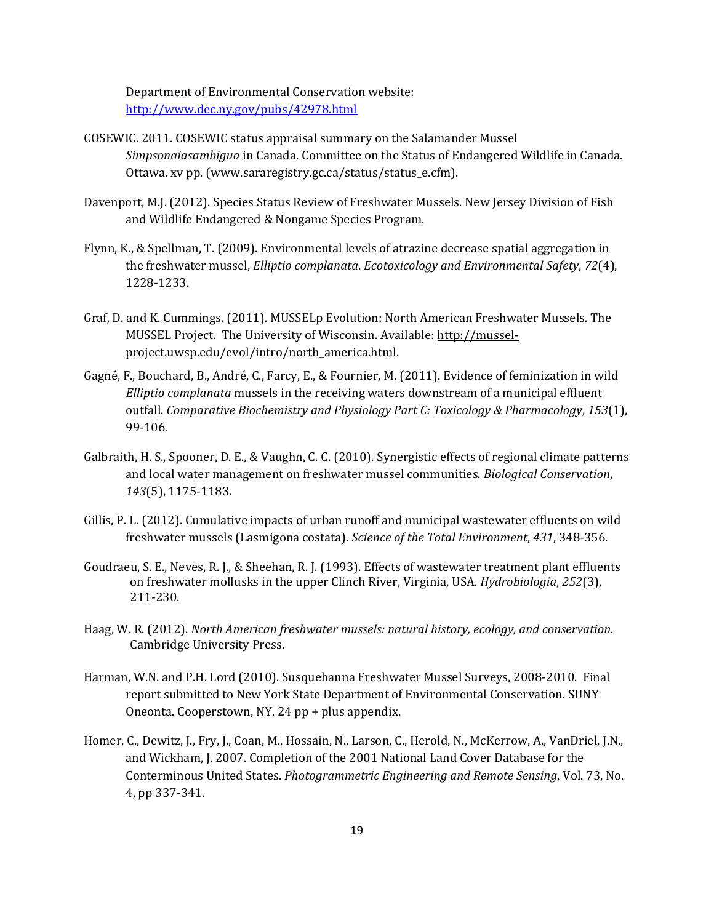Department of Environmental Conservation website: <http://www.dec.ny.gov/pubs/42978.html>

- COSEWIC. 2011. COSEWIC status appraisal summary on the Salamander Mussel *Simpsonaiasambigua* in Canada. Committee on the Status of Endangered Wildlife in Canada. Ottawa. xv pp. (www.sararegistry.gc.ca/status/status\_e.cfm).
- Davenport, M.J. (2012). Species Status Review of Freshwater Mussels. New Jersey Division of Fish and Wildlife Endangered & Nongame Species Program.
- Flynn, K., & Spellman, T. (2009). Environmental levels of atrazine decrease spatial aggregation in the freshwater mussel, *Elliptio complanata*. *Ecotoxicology and Environmental Safety*, *72*(4), 1228-1233.
- Graf, D. and K. Cummings. (2011). MUSSELp Evolution: North American Freshwater Mussels. The MUSSEL Project. The University of Wisconsin. Available: [http://mussel](http://mussel-project.uwsp.edu/evol/intro/north_america.html)[project.uwsp.edu/evol/intro/north\\_america.html.](http://mussel-project.uwsp.edu/evol/intro/north_america.html)
- Gagné, F., Bouchard, B., André, C., Farcy, E., & Fournier, M. (2011). Evidence of feminization in wild *Elliptio complanata* mussels in the receiving waters downstream of a municipal effluent outfall. *Comparative Biochemistry and Physiology Part C: Toxicology & Pharmacology*, *153*(1), 99-106.
- Galbraith, H. S., Spooner, D. E., & Vaughn, C. C. (2010). Synergistic effects of regional climate patterns and local water management on freshwater mussel communities. *Biological Conservation*, *143*(5), 1175-1183.
- Gillis, P. L. (2012). Cumulative impacts of urban runoff and municipal wastewater effluents on wild freshwater mussels (Lasmigona costata). *Science of the Total Environment*, *431*, 348-356.
- Goudraeu, S. E., Neves, R. J., & Sheehan, R. J. (1993). Effects of wastewater treatment plant effluents on freshwater mollusks in the upper Clinch River, Virginia, USA. *Hydrobiologia*, *252*(3), 211-230.
- Haag, W. R. (2012). *North American freshwater mussels: natural history, ecology, and conservation*. Cambridge University Press.
- Harman, W.N. and P.H. Lord (2010). Susquehanna Freshwater Mussel Surveys, 2008-2010. Final report submitted to New York State Department of Environmental Conservation. SUNY Oneonta. Cooperstown, NY. 24 pp + plus appendix.
- Homer, C., Dewitz, J., Fry, J., Coan, M., Hossain, N., Larson, C., Herold, N., McKerrow, A., VanDriel, J.N., and Wickham, J. 2007. Completion of the 2001 National Land Cover Database for the Conterminous United States. *Photogrammetric Engineering and Remote Sensing*, Vol. 73, No. 4, pp 337-341.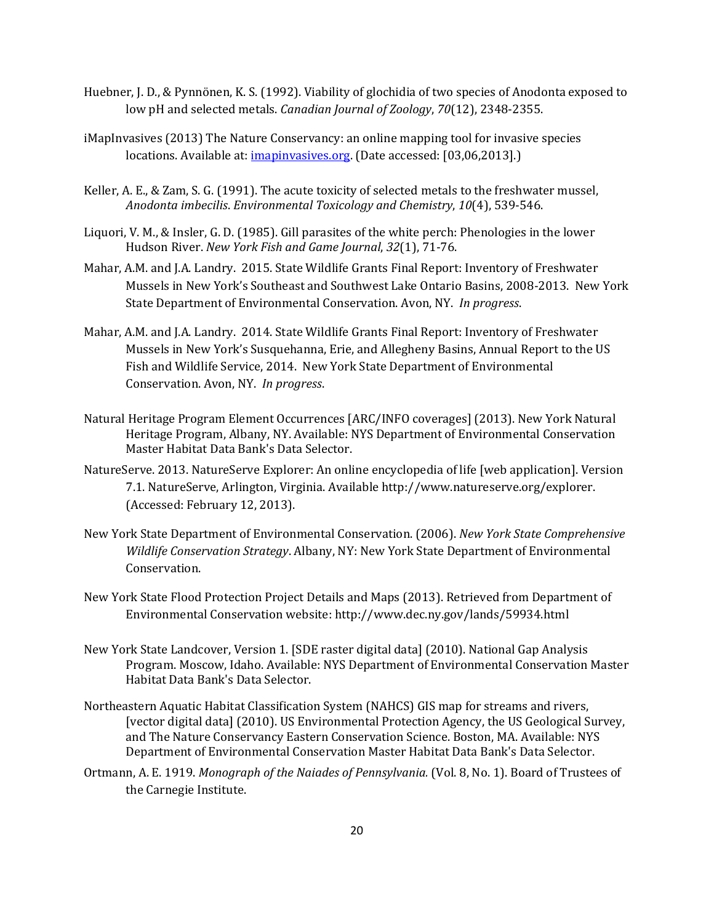- Huebner, J. D., & Pynnönen, K. S. (1992). Viability of glochidia of two species of Anodonta exposed to low pH and selected metals. *Canadian Journal of Zoology*, *70*(12), 2348-2355.
- iMapInvasives (2013) The Nature Conservancy: an online mapping tool for invasive species locations. Available at: *imapinyasives.org*. (Date accessed: [03,06,2013].)
- Keller, A. E., & Zam, S. G. (1991). The acute toxicity of selected metals to the freshwater mussel, *Anodonta imbecilis*. *Environmental Toxicology and Chemistry*, *10*(4), 539-546.
- Liquori, V. M., & Insler, G. D. (1985). Gill parasites of the white perch: Phenologies in the lower Hudson River. *New York Fish and Game Journal*, *32*(1), 71-76.
- Mahar, A.M. and J.A. Landry. 2015. State Wildlife Grants Final Report: Inventory of Freshwater Mussels in New York's Southeast and Southwest Lake Ontario Basins, 2008-2013. New York State Department of Environmental Conservation. Avon, NY. *In progress*.
- Mahar, A.M. and J.A. Landry. 2014. State Wildlife Grants Final Report: Inventory of Freshwater Mussels in New York's Susquehanna, Erie, and Allegheny Basins, Annual Report to the US Fish and Wildlife Service, 2014. New York State Department of Environmental Conservation. Avon, NY. *In progress*.
- Natural Heritage Program Element Occurrences [ARC/INFO coverages] (2013). New York Natural Heritage Program, Albany, NY. Available: NYS Department of Environmental Conservation Master Habitat Data Bank's Data Selector.
- NatureServe. 2013. NatureServe Explorer: An online encyclopedia of life [web application]. Version 7.1. NatureServe, Arlington, Virginia. Available http://www.natureserve.org/explorer. (Accessed: February 12, 2013).
- New York State Department of Environmental Conservation. (2006). *New York State Comprehensive Wildlife Conservation Strategy*. Albany, NY: New York State Department of Environmental Conservation.
- New York State Flood Protection Project Details and Maps (2013). Retrieved from Department of Environmental Conservation website: http://www.dec.ny.gov/lands/59934.html
- New York State Landcover, Version 1. [SDE raster digital data] (2010). National Gap Analysis Program. Moscow, Idaho. Available: NYS Department of Environmental Conservation Master Habitat Data Bank's Data Selector.
- Northeastern Aquatic Habitat Classification System (NAHCS) GIS map for streams and rivers, [vector digital data] (2010). US Environmental Protection Agency, the US Geological Survey, and The Nature Conservancy Eastern Conservation Science. Boston, MA. Available: NYS Department of Environmental Conservation Master Habitat Data Bank's Data Selector.
- Ortmann, A. E. 1919. *Monograph of the Naiades of Pennsylvania.* (Vol. 8, No. 1). Board of Trustees of the Carnegie Institute.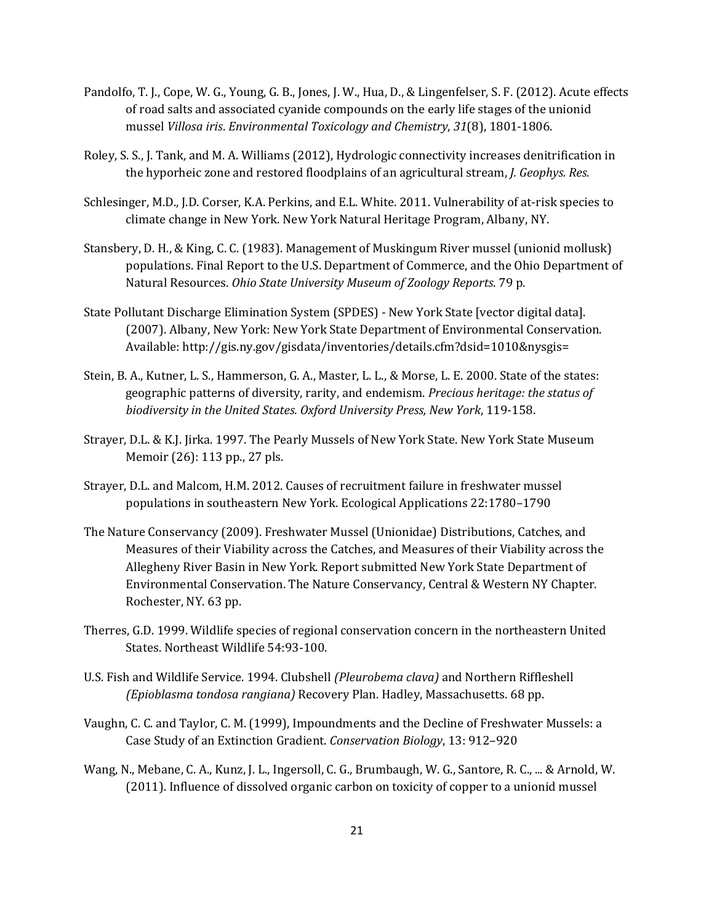- Pandolfo, T. J., Cope, W. G., Young, G. B., Jones, J. W., Hua, D., & Lingenfelser, S. F. (2012). Acute effects of road salts and associated cyanide compounds on the early life stages of the unionid mussel *Villosa iris*. *Environmental Toxicology and Chemistry*, *31*(8), 1801-1806.
- Roley, S. S., J. Tank, and M. A. Williams (2012), Hydrologic connectivity increases denitrification in the hyporheic zone and restored floodplains of an agricultural stream, *J. Geophys. Res.*
- Schlesinger, M.D., J.D. Corser, K.A. Perkins, and E.L. White. 2011. Vulnerability of at-risk species to climate change in New York. New York Natural Heritage Program, Albany, NY.
- Stansbery, D. H., & King, C. C. (1983). Management of Muskingum River mussel (unionid mollusk) populations. Final Report to the U.S. Department of Commerce, and the Ohio Department of Natural Resources. *Ohio State University Museum of Zoology Reports*. 79 p.
- State Pollutant Discharge Elimination System (SPDES) New York State [vector digital data]. (2007). Albany, New York: New York State Department of Environmental Conservation. Available: http://gis.ny.gov/gisdata/inventories/details.cfm?dsid=1010&nysgis=
- Stein, B. A., Kutner, L. S., Hammerson, G. A., Master, L. L., & Morse, L. E. 2000. State of the states: geographic patterns of diversity, rarity, and endemism. *Precious heritage: the status of biodiversity in the United States. Oxford University Press, New York*, 119-158.
- Strayer, D.L. & K.J. Jirka. 1997. The Pearly Mussels of New York State. New York State Museum Memoir (26): 113 pp., 27 pls.
- Strayer, D.L. and Malcom, H.M. 2012. Causes of recruitment failure in freshwater mussel populations in southeastern New York. Ecological Applications 22:1780–1790
- The Nature Conservancy (2009). Freshwater Mussel (Unionidae) Distributions, Catches, and Measures of their Viability across the Catches, and Measures of their Viability across the Allegheny River Basin in New York. Report submitted New York State Department of Environmental Conservation. The Nature Conservancy, Central & Western NY Chapter. Rochester, NY. 63 pp.
- Therres, G.D. 1999. Wildlife species of regional conservation concern in the northeastern United States. Northeast Wildlife 54:93-100.
- U.S. Fish and Wildlife Service. 1994. Clubshell *(Pleurobema clava)* and Northern Riffleshell *(Epioblasma tondosa rangiana)* Recovery Plan. Hadley, Massachusetts. 68 pp.
- Vaughn, C. C. and Taylor, C. M. (1999), Impoundments and the Decline of Freshwater Mussels: a Case Study of an Extinction Gradient. *Conservation Biology*, 13: 912–920
- Wang, N., Mebane, C. A., Kunz, J. L., Ingersoll, C. G., Brumbaugh, W. G., Santore, R. C., ... & Arnold, W. (2011). Influence of dissolved organic carbon on toxicity of copper to a unionid mussel